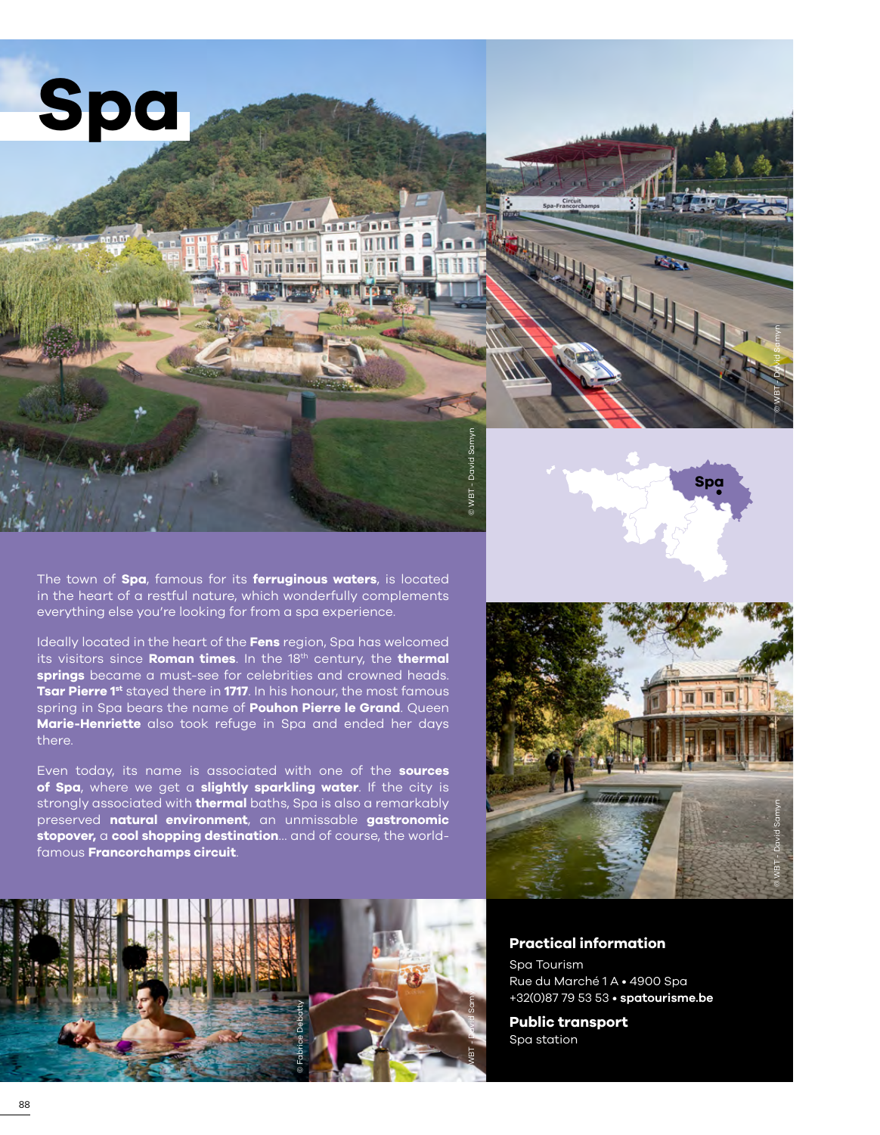

# **THUODO TOO AA**  $\pi$   $\pi$   $\pi$   $\pi$   $\pi$ **Runu** πī

© WBT - David Samyn

The town of **Spa**, famous for its **ferruginous waters**, is located in the heart of a restful nature, which wonderfully complements everything else you're looking for from a spa experience.

Ideally located in the heart of the **Fens** region, Spa has welcomed its visitors since **Roman times**. In the 18th century, the **thermal springs** became a must-see for celebrities and crowned heads. **Tsar Pierre 1st** stayed there in **1717**. In his honour, the most famous spring in Spa bears the name of **Pouhon Pierre le Grand**. Queen **Marie-Henriette** also took refuge in Spa and ended her days there.

Even today, its name is associated with one of the **sources of Spa**, where we get a **slightly sparkling water**. If the city is strongly associated with **thermal** baths, Spa is also a remarkably preserved **natural environment**, an unmissable **gastronomic stopover,** a **cool shopping destination**… and of course, the worldfamous **Francorchamps circuit**.



© WBT - David Samyn





# **Practical information**

Spa Tourism Rue du Marché 1 A • 4900 Spa +32(0)87 79 53 53 • **[spatourisme.be](http://www.spatourisme.be/fr)**

**Public transport** Spa station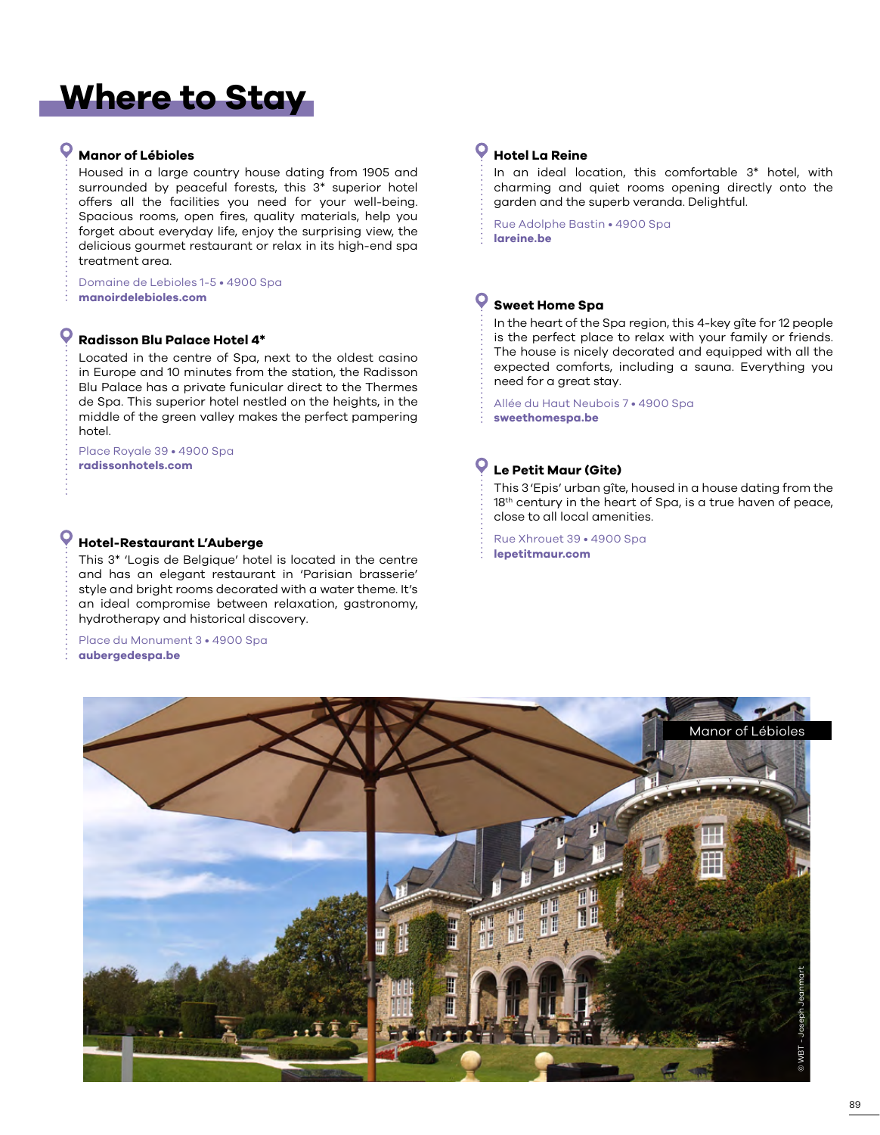# **Where to Stay**

# **Manor of Lébioles**

O

Housed in a large country house dating from 1905 and surrounded by peaceful forests, this 3\* superior hotel offers all the facilities you need for your well-being. Spacious rooms, open fires, quality materials, help you forget about everyday life, enjoy the surprising view, the delicious gourmet restaurant or relax in its high-end spa treatment area.

Domaine de Lebioles 1-5 • 4900 Spa<br>manoirdelebioles.com

# **Radisson Blu Palace Hotel 4\***

Located in the centre of Spa, next to the oldest casino in Europe and 10 minutes from the station, the Radisson Blu Palace has a private funicular direct to the Thermes de Spa. This superior hotel nestled on the heights, in the middle of the green valley makes the perfect pampering hotel.

Place Royale 39 • 4900 Spa **[radissonhotels.com](https://www.radissonhotels.com/en-us/hotels/radisson-blu-spa)**

**Hotel-Restaurant L'Auberge**<br>This 3\* 'Logis de Belgique' hotel is located in the centre **Aubust 2009's Lepetitmaur.com** and has an elegant restaurant in 'Parisian brasserie' style and bright rooms decorated with a water theme. It's an ideal compromise between relaxation, gastronomy, hydrotherapy and historical discovery.

Place du Monument 3 • 4900 Spa **[aubergedespa.be](https://aubergedespa.be)**

#### O **Hotel La Reine**

In an ideal location, this comfortable 3\* hotel, with charming and quiet rooms opening directly onto the garden and the superb veranda. Delightful.

Rue Adolphe Bastin • 4900 Spa **[lareine.be](www.lareine.be)**

# **Sweet Home Spa**

In the heart of the Spa region, this 4-key gîte for 12 people is the perfect place to relax with your family or friends. The house is nicely decorated and equipped with all the expected comforts, including a sauna. Everything you need for a great stay.

Allée du Haut Neubois 7 • 4900 Spa **[sweethomespa.be](www.sweethomespa.be)**

# **Le Petit Maur (Gite)**

This 3'Epis' urban gîte, housed in a house dating from the 18<sup>th</sup> century in the heart of Spa, is a true haven of peace, close to all local amenities.

Rue Xhrouet 39 • 4900 Spa

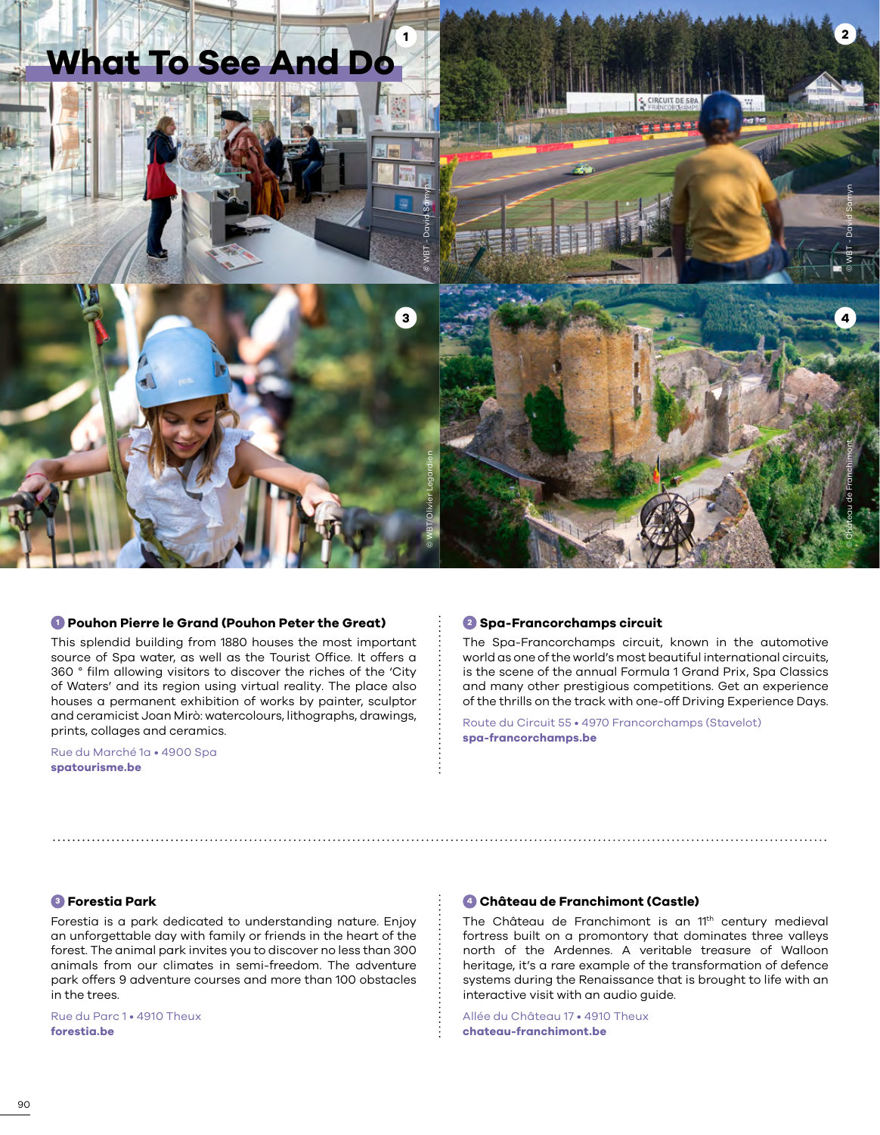

#### **<sup>1</sup> Pouhon Pierre le Grand (Pouhon Peter the Great)**

This splendid building from 1880 houses the most important source of Spa water, as well as the Tourist Office. It offers a 360 ° film allowing visitors to discover the riches of the 'City of Waters' and its region using virtual reality. The place also houses a permanent exhibition of works by painter, sculptor and ceramicist Joan Mirò: watercolours, lithographs, drawings, prints, collages and ceramics.

Rue du Marché 1a • 4900 Spa **[spatourisme.be](http://www.spatourisme.be/fr)**

#### **<sup>2</sup> Spa-Francorchamps circuit**

The Spa-Francorchamps circuit, known in the automotive world as one of the world's most beautiful international circuits, is the scene of the annual Formula 1 Grand Prix, Spa Classics and many other prestigious competitions. Get an experience of the thrills on the track with one-off Driving Experience Days.

Route du Circuit 55 • 4970 Francorchamps (Stavelot) **[spa-francorchamps.be](https://www.spa-francorchamps.be/)**

# **<sup>3</sup> Forestia Park**

Forestia is a park dedicated to understanding nature. Enjoy an unforgettable day with family or friends in the heart of the forest. The animal park invites you to discover no less than 300 animals from our climates in semi-freedom. The adventure park offers 9 adventure courses and more than 100 obstacles in the trees.

Rue du Parc 1 • 4910 Theux **[forestia.be](https://forestia.be/)**

## **<sup>4</sup> Château de Franchimont (Castle)**

The Château de Franchimont is an 11<sup>th</sup> century medieval fortress built on a promontory that dominates three valleys north of the Ardennes. A veritable treasure of Walloon heritage, it's a rare example of the transformation of defence systems during the Renaissance that is brought to life with an interactive visit with an audio guide.

Allée du Château 17 • 4910 Theux **[chateau-franchimont.be](https://chateau-franchimont.be/fr/accueil/)**